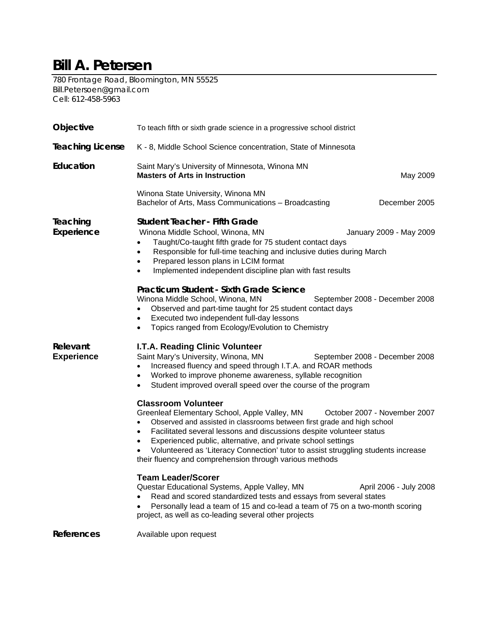## **Bill A. Petersen**

780 Frontage Road, Bloomington, MN 55525 Bill.Petersoen@gmail.com Cell: 612-458-5963

| Objective                     | To teach fifth or sixth grade science in a progressive school district                                                                                                                                                                                                                                                                                                                                                                                                                           |  |  |
|-------------------------------|--------------------------------------------------------------------------------------------------------------------------------------------------------------------------------------------------------------------------------------------------------------------------------------------------------------------------------------------------------------------------------------------------------------------------------------------------------------------------------------------------|--|--|
| <b>Teaching License</b>       | K - 8, Middle School Science concentration, State of Minnesota                                                                                                                                                                                                                                                                                                                                                                                                                                   |  |  |
| Education                     | Saint Mary's University of Minnesota, Winona MN<br><b>Masters of Arts in Instruction</b><br>May 2009                                                                                                                                                                                                                                                                                                                                                                                             |  |  |
|                               | Winona State University, Winona MN<br>December 2005<br>Bachelor of Arts, Mass Communications - Broadcasting                                                                                                                                                                                                                                                                                                                                                                                      |  |  |
| Teaching<br>Experience        | <b>Student Teacher - Fifth Grade</b><br>Winona Middle School, Winona, MN<br>January 2009 - May 2009<br>Taught/Co-taught fifth grade for 75 student contact days<br>Responsible for full-time teaching and inclusive duties during March<br>$\bullet$<br>Prepared lesson plans in LCIM format<br>$\bullet$<br>Implemented independent discipline plan with fast results                                                                                                                           |  |  |
|                               | Practicum Student - Sixth Grade Science<br>Winona Middle School, Winona, MN<br>September 2008 - December 2008<br>Observed and part-time taught for 25 student contact days<br>Executed two independent full-day lessons<br>Topics ranged from Ecology/Evolution to Chemistry<br>$\bullet$                                                                                                                                                                                                        |  |  |
| Relevant<br><b>Experience</b> | I.T.A. Reading Clinic Volunteer<br>Saint Mary's University, Winona, MN<br>September 2008 - December 2008<br>Increased fluency and speed through I.T.A. and ROAR methods<br>$\bullet$<br>Worked to improve phoneme awareness, syllable recognition<br>$\bullet$<br>Student improved overall speed over the course of the program<br>$\bullet$                                                                                                                                                     |  |  |
|                               | <b>Classroom Volunteer</b><br>Greenleaf Elementary School, Apple Valley, MN<br>October 2007 - November 2007<br>Observed and assisted in classrooms between first grade and high school<br>Facilitated several lessons and discussions despite volunteer status<br>٠<br>Experienced public, alternative, and private school settings<br>$\bullet$<br>Volunteered as 'Literacy Connection' tutor to assist struggling students increase<br>their fluency and comprehension through various methods |  |  |
|                               | <b>Team Leader/Scorer</b><br>Questar Educational Systems, Apple Valley, MN<br>April 2006 - July 2008<br>Read and scored standardized tests and essays from several states<br>Personally lead a team of 15 and co-lead a team of 75 on a two-month scoring<br>project, as well as co-leading several other projects                                                                                                                                                                               |  |  |
| <b>References</b>             | Available upon request                                                                                                                                                                                                                                                                                                                                                                                                                                                                           |  |  |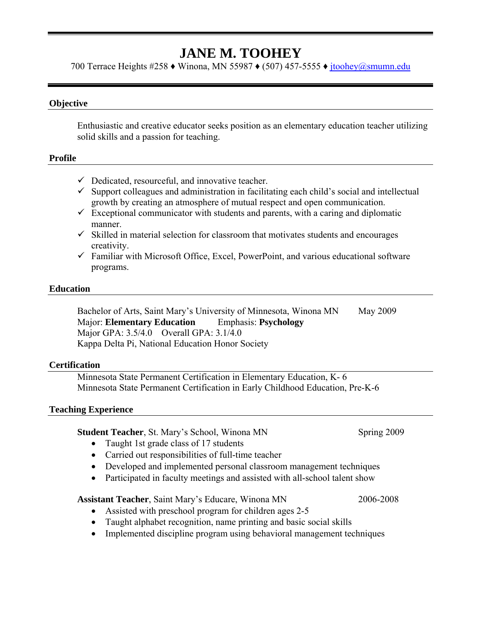## **JANE M. TOOHEY**

700 Terrace Heights #258 ♦ Winona, MN 55987 ♦ (507) 457-5555 ♦ jtoohey@smumn.edu

#### **Objective**

Enthusiastic and creative educator seeks position as an elementary education teacher utilizing solid skills and a passion for teaching.

#### **Profile**

- $\checkmark$  Dedicated, resourceful, and innovative teacher.
- $\checkmark$  Support colleagues and administration in facilitating each child's social and intellectual growth by creating an atmosphere of mutual respect and open communication.
- $\checkmark$  Exceptional communicator with students and parents, with a caring and diplomatic manner.
- $\checkmark$  Skilled in material selection for classroom that motivates students and encourages creativity.
- $\checkmark$  Familiar with Microsoft Office, Excel, PowerPoint, and various educational software programs.

#### **Education**

Bachelor of Arts, Saint Mary's University of Minnesota, Winona MN May 2009 Major: **Elementary Education** Emphasis: **Psychology**  Major GPA: 3.5/4.0 Overall GPA: 3.1/4.0 Kappa Delta Pi, National Education Honor Society

#### **Certification**

Minnesota State Permanent Certification in Elementary Education, K- 6 Minnesota State Permanent Certification in Early Childhood Education, Pre-K-6

#### **Teaching Experience**

**Student Teacher**, St. Mary's School, Winona MN Spring 2009

- Taught 1st grade class of 17 students
- Carried out responsibilities of full-time teacher
- Developed and implemented personal classroom management techniques
- Participated in faculty meetings and assisted with all-school talent show

#### **Assistant Teacher**, Saint Mary's Educare, Winona MN 2006-2008

- Assisted with preschool program for children ages 2-5
- Taught alphabet recognition, name printing and basic social skills
- Implemented discipline program using behavioral management techniques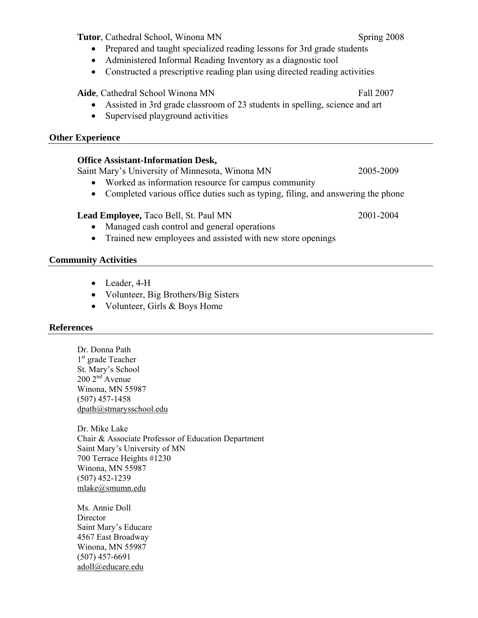**Tutor**, Cathedral School, Winona MN Spring 2008

- Prepared and taught specialized reading lessons for 3rd grade students
- Administered Informal Reading Inventory as a diagnostic tool
- Constructed a prescriptive reading plan using directed reading activities

**Aide**, Cathedral School Winona MN Fall 2007

- Assisted in 3rd grade classroom of 23 students in spelling, science and art
- Supervised playground activities

#### **Other Experience**

#### **Office Assistant-Information Desk,**

Saint Mary's University of Minnesota, Winona MN 2005-2009

- Worked as information resource for campus community
- Completed various office duties such as typing, filing, and answering the phone

### **Lead Employee,** Taco Bell, St. Paul MN 2001-2004

- Managed cash control and general operations
- Trained new employees and assisted with new store openings

### **Community Activities**

- Leader, 4-H
- Volunteer, Big Brothers/Big Sisters
- Volunteer, Girls & Boys Home

### **References**

Dr. Donna Path 1<sup>st</sup> grade Teacher St. Mary's School  $200 2<sup>nd</sup>$  Avenue Winona, MN 55987 (507) 457-1458 dpath@stmarysschool.edu

Dr. Mike Lake Chair & Associate Professor of Education Department Saint Mary's University of MN 700 Terrace Heights #1230 Winona, MN 55987 (507) 452-1239 mlake@smumn.edu

Ms. Annie Doll **Director** Saint Mary's Educare 4567 East Broadway Winona, MN 55987 (507) 457-6691 adoll@educare.edu